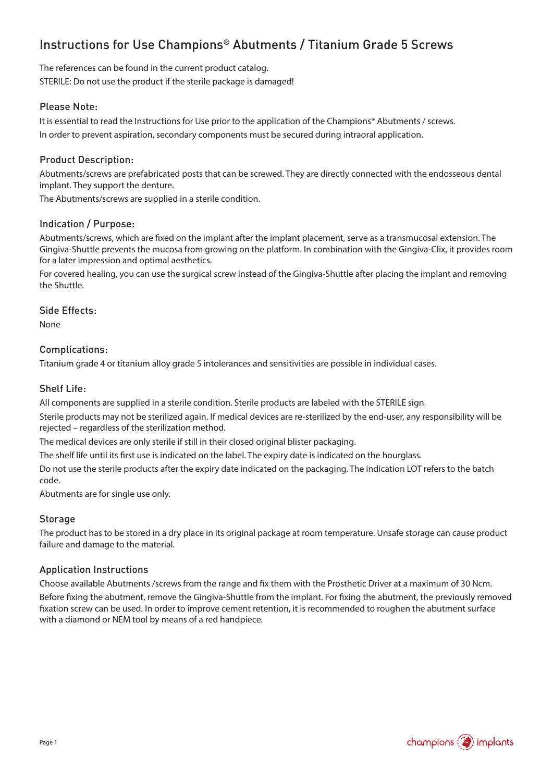# Instructions for Use Champions® Abutments / Titanium Grade 5 Screws

The references can be found in the current product catalog. STERILE: Do not use the product if the sterile package is damaged!

#### Please Note:

It is essential to read the Instructions for Use prior to the application of the Champions® Abutments / screws. In order to prevent aspiration, secondary components must be secured during intraoral application.

#### Product Description:

Abutments/screws are prefabricated posts that can be screwed. They are directly connected with the endosseous dental implant. They support the denture.

The Abutments/screws are supplied in a sterile condition.

#### Indication / Purpose:

Abutments/screws, which are fixed on the implant after the implant placement, serve as a transmucosal extension. The Gingiva-Shuttle prevents the mucosa from growing on the platform. In combination with the Gingiva-Clix, it provides room for a later impression and optimal aesthetics.

For covered healing, you can use the surgical screw instead of the Gingiva-Shuttle after placing the implant and removing the Shuttle.

Side Effects:

None

#### Complications:

Titanium grade 4 or titanium alloy grade 5 intolerances and sensitivities are possible in individual cases.

#### Shelf Life:

All components are supplied in a sterile condition. Sterile products are labeled with the STERILE sign.

Sterile products may not be sterilized again. If medical devices are re-sterilized by the end-user, any responsibility will be rejected – regardless of the sterilization method.

The medical devices are only sterile if still in their closed original blister packaging.

The shelf life until its first use is indicated on the label. The expiry date is indicated on the hourglass.

Do not use the sterile products after the expiry date indicated on the packaging. The indication LOT refers to the batch code.

Abutments are for single use only.

#### Storage

The product has to be stored in a dry place in its original package at room temperature. Unsafe storage can cause product failure and damage to the material.

#### Application Instructions

Choose available Abutments /screws from the range and fix them with the Prosthetic Driver at a maximum of 30 Ncm. Before fixing the abutment, remove the Gingiva-Shuttle from the implant. For fixing the abutment, the previously removed fixation screw can be used. In order to improve cement retention, it is recommended to roughen the abutment surface with a diamond or NEM tool by means of a red handpiece.